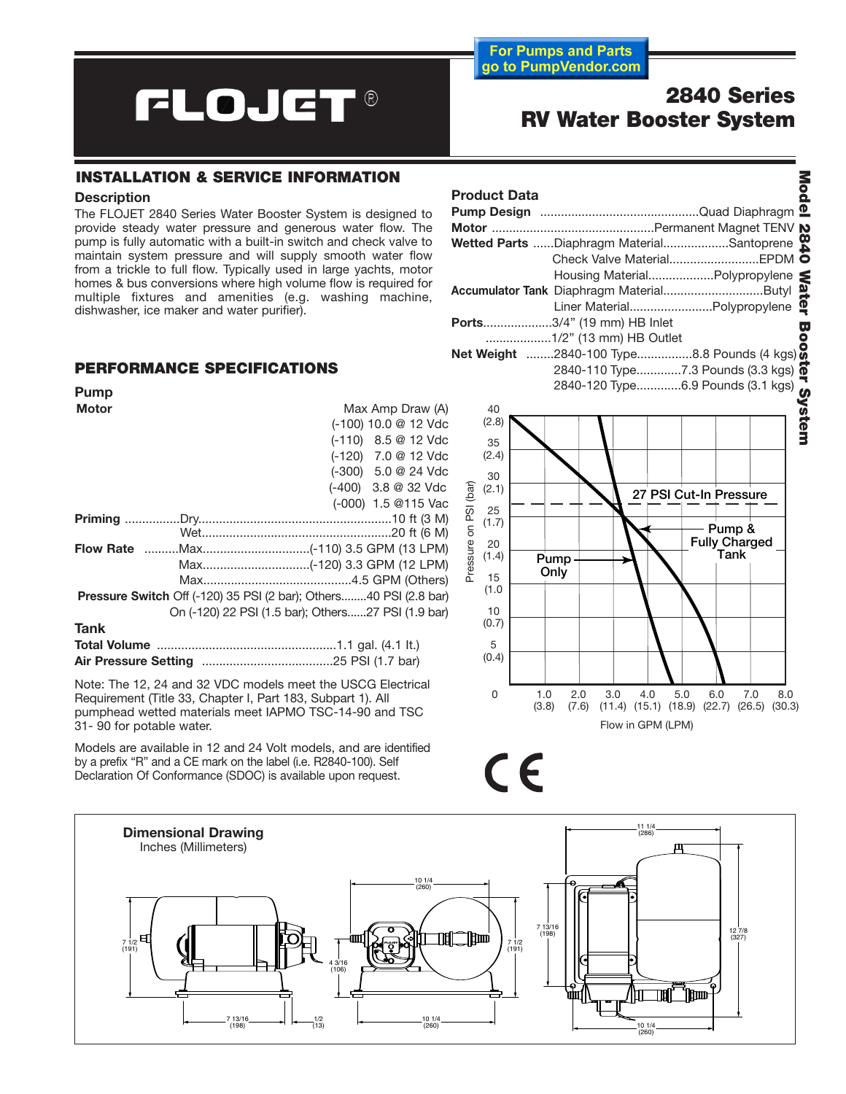# **FLOJET®**

**2840 Series RV Water Booster System**

3

**For Pumps and Parts** go to PumpVendor.com

#### **INSTALLATION & SERVICE INFORMATION**

#### **Description**

The FLOJET 2840 Series Water Booster System is designed to provide steady water pressure and generous water flow. The pump is fully automatic with a built-in switch and check valve to maintain system pressure and will supply smooth water flow from a trickle to full flow. Typically used in large yachts, motor homes & bus conversions where high volume flow is required for multiple fixtures and amenities (e.g. washing machine, dishwasher, ice maker and water purifier).

### **PERFORMANCE SPECIFICATIONS**

| Pump                                                              |  |                                                    |
|-------------------------------------------------------------------|--|----------------------------------------------------|
| <b>Motor</b>                                                      |  | Max Amp Draw (A)                                   |
|                                                                   |  | (-100) 10.0 @ 12 Vdc                               |
|                                                                   |  | (-110) 8.5 @ 12 Vdc                                |
|                                                                   |  | (-120) 7.0 @ 12 Vdc                                |
|                                                                   |  | (-300) 5.0 @ 24 Vdc                                |
|                                                                   |  | $(-400)$ 3.8 @ 32 Vdc                              |
|                                                                   |  | (-000) 1.5 @115 Vac                                |
|                                                                   |  |                                                    |
|                                                                   |  |                                                    |
|                                                                   |  |                                                    |
|                                                                   |  |                                                    |
|                                                                   |  |                                                    |
| Pressure Switch Off (-120) 35 PSI (2 bar); Others40 PSI (2.8 bar) |  |                                                    |
|                                                                   |  | On (-120) 22 PSI (1.5 bar); Others27 PSI (1.9 bar) |
| Tank                                                              |  |                                                    |
|                                                                   |  |                                                    |
|                                                                   |  |                                                    |

Note: The 12, 24 and 32 VDC models meet the USCG Electrical Requirement (Title 33, Chapter I, Part 183, Subpart 1). All pumphead wetted materials meet IAPMO TSC-14-90 and TSC 31- 90 for potable water.

Models are available in 12 and 24 Volt models, and are identified by a prefix "R" and a CE mark on the label (i.e. R2840-100). Self Declaration Of Conformance (SDOC) is available upon request.

| Wetted Parts Diaphragm MaterialSantoprene |                                   |               |
|-------------------------------------------|-----------------------------------|---------------|
|                                           |                                   |               |
|                                           | Housing MaterialPolypropylene     |               |
| Accumulator Tank Diaphragm MaterialButyl  |                                   |               |
|                                           | Liner MaterialPolypropylene       |               |
| <b>Ports3/4" (19 mm) HB Inlet</b>         |                                   |               |
|                                           |                                   |               |
|                                           |                                   |               |
|                                           |                                   |               |
|                                           | 2840-120 Type6.9 Pounds (3.1 kgs) |               |
| 40                                        |                                   | <b>System</b> |
| (2.8)                                     |                                   |               |
| 35                                        |                                   |               |





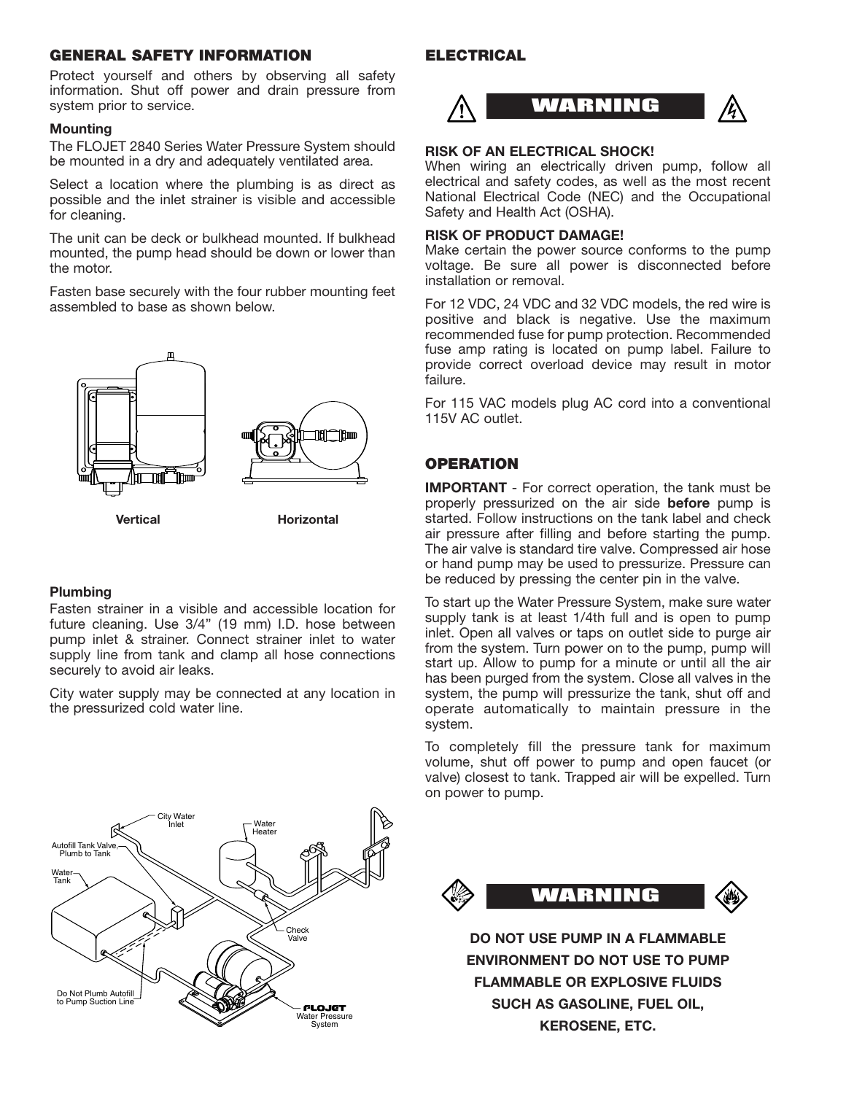#### **GENERAL SAFETY INFORMATION ELECTRICAL**

Protect yourself and others by observing all safety information. Shut off power and drain pressure from system prior to service.

#### **Mounting**

The FLOJET 2840 Series Water Pressure System should be mounted in a dry and adequately ventilated area.

Select a location where the plumbing is as direct as possible and the inlet strainer is visible and accessible for cleaning.

The unit can be deck or bulkhead mounted. If bulkhead mounted, the pump head should be down or lower than the motor.

Fasten base securely with the four rubber mounting feet assembled to base as shown below.

**nal Cition na <sup>2</sup>ho** 



#### **Plumbing**

Fasten strainer in a visible and accessible location for future cleaning. Use 3/4" (19 mm) I.D. hose between pump inlet & strainer. Connect strainer inlet to water supply line from tank and clamp all hose connections securely to avoid air leaks.

City water supply may be connected at any location in the pressurized cold water line.



#### **RISK OF AN ELECTRICAL SHOCK!**

When wiring an electrically driven pump, follow all electrical and safety codes, as well as the most recent National Electrical Code (NEC) and the Occupational Safety and Health Act (OSHA).

#### **RISK OF PRODUCT DAMAGE!**

Make certain the power source conforms to the pump voltage. Be sure all power is disconnected before installation or removal.

For 12 VDC, 24 VDC and 32 VDC models, the red wire is positive and black is negative. Use the maximum recommended fuse for pump protection. Recommended fuse amp rating is located on pump label. Failure to provide correct overload device may result in motor failure.

For 115 VAC models plug AC cord into a conventional 115V AC outlet.

#### **OPERATION**

**IMPORTANT** - For correct operation, the tank must be properly pressurized on the air side **before** pump is started. Follow instructions on the tank label and check air pressure after filling and before starting the pump. The air valve is standard tire valve. Compressed air hose or hand pump may be used to pressurize. Pressure can be reduced by pressing the center pin in the valve.

To start up the Water Pressure System, make sure water supply tank is at least 1/4th full and is open to pump inlet. Open all valves or taps on outlet side to purge air from the system. Turn power on to the pump, pump will start up. Allow to pump for a minute or until all the air has been purged from the system. Close all valves in the system, the pump will pressurize the tank, shut off and operate automatically to maintain pressure in the system.

To completely fill the pressure tank for maximum volume, shut off power to pump and open faucet (or valve) closest to tank. Trapped air will be expelled. Turn on power to pump.





**DO NOT USE PUMP IN A FLAMMABLE ENVIRONMENT DO NOT USE TO PUMP FLAMMABLE OR EXPLOSIVE FLUIDS SUCH AS GASOLINE, FUEL OIL, KEROSENE, ETC.**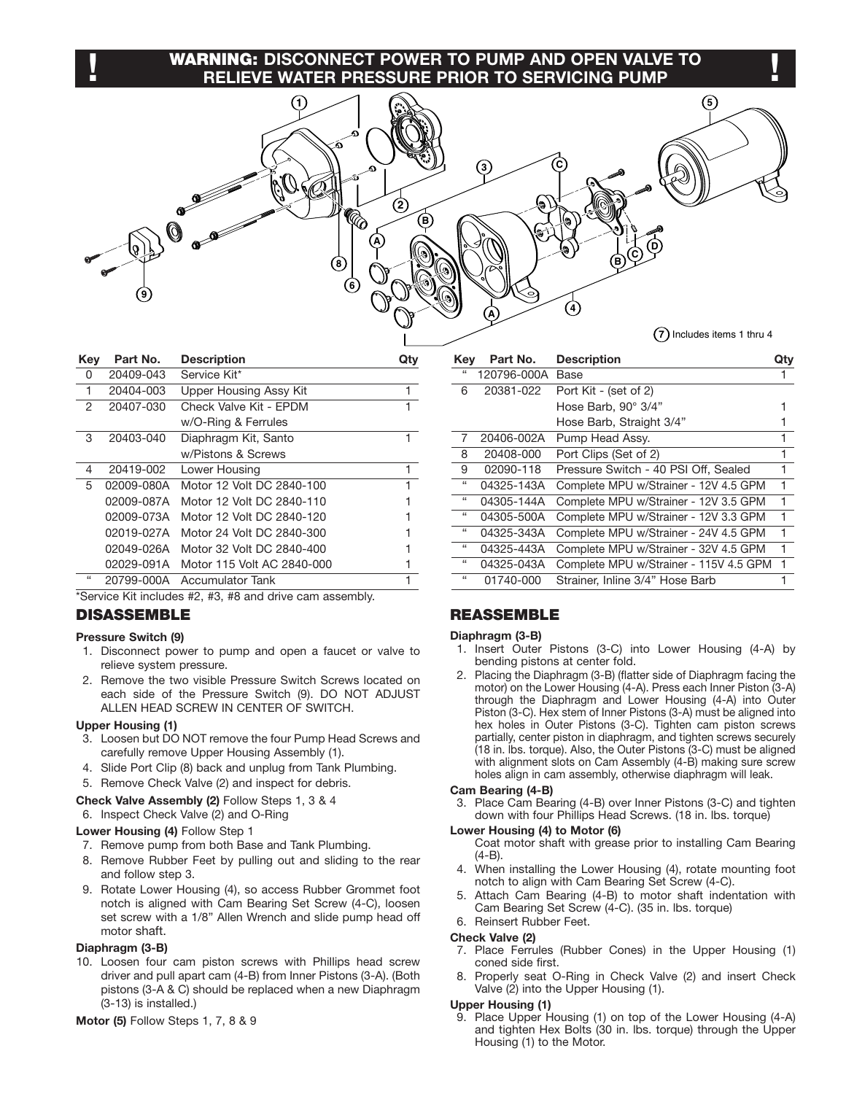### **WARNING: DISCONNECT POWER TO PUMP AND OPEN VALVE TO ! !RELIEVE WATER PRESSURE PRIOR TO SERVICING PUMP**

 $(5)$  $\left(3\right)$  $\int_0^\infty$  $\left( 2\right)$ G (B)  $\left( 4\right)$  $(7)$  Includes items 1 thru 4

| Key | Part No.   | <b>Description</b>         |   |
|-----|------------|----------------------------|---|
| 0   | 20409-043  | Service Kit*               |   |
| 1   | 20404-003  | Upper Housing Assy Kit     | 1 |
| 2   | 20407-030  | Check Valve Kit - FPDM     |   |
|     |            | w/O-Ring & Ferrules        |   |
| 3   | 20403-040  | Diaphragm Kit, Santo       |   |
|     |            | w/Pistons & Screws         |   |
| 4   | 20419-002  | Lower Housing              |   |
| 5   | 02009-080A | Motor 12 Volt DC 2840-100  |   |
|     | 02009-087A | Motor 12 Volt DC 2840-110  |   |
|     | 02009-073A | Motor 12 Volt DC 2840-120  |   |
|     | 02019-027A | Motor 24 Volt DC 2840-300  |   |
|     | 02049-026A | Motor 32 Volt DC 2840-400  |   |
|     | 02029-091A | Motor 115 Volt AC 2840-000 |   |
| 66  | 20799-000A | Accumulator Tank           |   |

\*Service Kit includes #2, #3, #8 and drive cam assembly.

#### **DISASSEMBLE**

#### **Pressure Switch (9)**

- 1. Disconnect power to pump and open a faucet or valve to relieve system pressure.
- 2. Remove the two visible Pressure Switch Screws located on each side of the Pressure Switch (9). DO NOT ADJUST ALLEN HEAD SCREW IN CENTER OF SWITCH.

#### **Upper Housing (1)**

- 3. Loosen but DO NOT remove the four Pump Head Screws and carefully remove Upper Housing Assembly (1).
- 4. Slide Port Clip (8) back and unplug from Tank Plumbing.
- 5. Remove Check Valve (2) and inspect for debris.

#### **Check Valve Assembly (2)** Follow Steps 1, 3 & 4

6. Inspect Check Valve (2) and O-Ring

#### **Lower Housing (4)** Follow Step 1

- 7. Remove pump from both Base and Tank Plumbing.
- 8. Remove Rubber Feet by pulling out and sliding to the rear and follow step 3.
- 9. Rotate Lower Housing (4), so access Rubber Grommet foot notch is aligned with Cam Bearing Set Screw (4-C), loosen set screw with a 1/8" Allen Wrench and slide pump head off motor shaft.

#### **Diaphragm (3-B)**

10. Loosen four cam piston screws with Phillips head screw driver and pull apart cam (4-B) from Inner Pistons (3-A). (Both pistons (3-A & C) should be replaced when a new Diaphragm (3-13) is installed.)

```
Motor (5) Follow Steps 1, 7, 8 & 9
```

| Key                        | Part No.    | <b>Description</b>                     | Qtv          |
|----------------------------|-------------|----------------------------------------|--------------|
| ££                         | 120796-000A | Base                                   | ı            |
| 6                          | 20381-022   | Port Kit - (set of 2)                  |              |
|                            |             | Hose Barb, 90° 3/4"                    |              |
|                            |             | Hose Barb, Straight 3/4"               |              |
| 7                          | 20406-002A  | Pump Head Assy.                        |              |
| 8                          | 20408-000   | Port Clips (Set of 2)                  | 1            |
| 9                          | 02090-118   | Pressure Switch - 40 PSI Off, Sealed   | 1            |
| $\mathfrak{c}\mathfrak{c}$ | 04325-143A  | Complete MPU w/Strainer - 12V 4.5 GPM  | $\mathbf{1}$ |
| $\mathfrak{c}\mathfrak{c}$ | 04305-144A  | Complete MPU w/Strainer - 12V 3.5 GPM  | 1            |
| $\mathbf{G}$               | 04305-500A  | Complete MPU w/Strainer - 12V 3.3 GPM  | 1            |
| 66                         | 04325-343A  | Complete MPU w/Strainer - 24V 4.5 GPM  | 1.           |
| $\mathfrak{c}\mathfrak{c}$ | 04325-443A  | Complete MPU w/Strainer - 32V 4.5 GPM  | 1            |
| $\epsilon$                 | 04325-043A  | Complete MPU w/Strainer - 115V 4.5 GPM | 1            |
| $\epsilon$                 | 01740-000   | Strainer, Inline 3/4" Hose Barb        |              |
|                            |             |                                        |              |

#### **REASSEMBLE**

#### **Diaphragm (3-B)**

- 1. Insert Outer Pistons (3-C) into Lower Housing (4-A) by bending pistons at center fold.
- 2. Placing the Diaphragm (3-B) (flatter side of Diaphragm facing the motor) on the Lower Housing (4-A). Press each Inner Piston (3-A) through the Diaphragm and Lower Housing (4-A) into Outer Piston (3-C). Hex stem of Inner Pistons (3-A) must be aligned into hex holes in Outer Pistons (3-C). Tighten cam piston screws partially, center piston in diaphragm, and tighten screws securely (18 in. lbs. torque). Also, the Outer Pistons (3-C) must be aligned with alignment slots on Cam Assembly (4-B) making sure screw holes align in cam assembly, otherwise diaphragm will leak.

#### **Cam Bearing (4-B)**

3. Place Cam Bearing (4-B) over Inner Pistons (3-C) and tighten down with four Phillips Head Screws. (18 in. lbs. torque)

#### **Lower Housing (4) to Motor (6)**

Coat motor shaft with grease prior to installing Cam Bearing (4-B).

- 4. When installing the Lower Housing (4), rotate mounting foot notch to align with Cam Bearing Set Screw (4-C).
- 5. Attach Cam Bearing (4-B) to motor shaft indentation with Cam Bearing Set Screw (4-C). (35 in. lbs. torque)

#### 6. Reinsert Rubber Feet.

#### **Check Valve (2)**

- 7. Place Ferrules (Rubber Cones) in the Upper Housing (1) coned side first.
- 8. Properly seat O-Ring in Check Valve (2) and insert Check Valve (2) into the Upper Housing (1).

#### **Upper Housing (1)**

9. Place Upper Housing (1) on top of the Lower Housing (4-A) and tighten Hex Bolts (30 in. lbs. torque) through the Upper Housing (1) to the Motor.